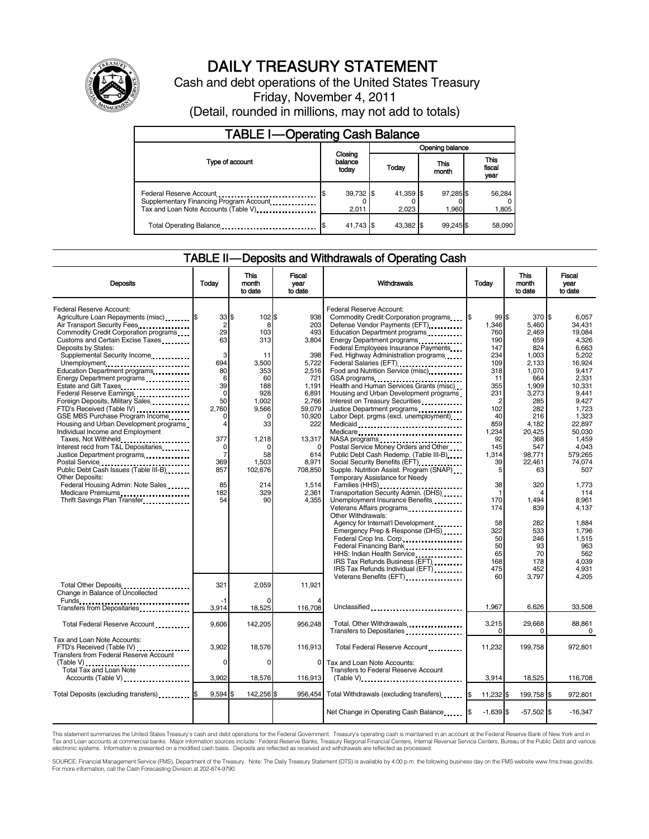

# DAILY TREASURY STATEMENT

Cash and debt operations of the United States Treasury Friday, November 4, 2011

(Detail, rounded in millions, may not add to totals)

| <b>TABLE I-Operating Cash Balance</b>                                                                      |                             |                        |                    |                               |  |  |  |
|------------------------------------------------------------------------------------------------------------|-----------------------------|------------------------|--------------------|-------------------------------|--|--|--|
|                                                                                                            |                             | Opening balance        |                    |                               |  |  |  |
| Type of account                                                                                            | Closing<br>balance<br>today | This<br>Today<br>month |                    | <b>This</b><br>fiscal<br>year |  |  |  |
| Federal Reserve Account<br>Supplementary Financing Program Account<br>Tax and Loan Note Accounts (Table V) | 39,732 \$<br>2.011          | 41.359 \$<br>2.023     | 97,285 \$<br>1.960 | 56,284<br>1,805               |  |  |  |
| Total Operating Balance                                                                                    | 41,743 \$                   | 43.382 \$              | 99.245\$           | 58.090                        |  |  |  |

### TABLE II — Deposits and Withdrawals of Operating Cash

| <b>Deposits</b>                                                                                                                                                                                                                                                                                                                                                                                                                                                                                                                         | Today                                                                                                 | This<br>month<br>to date                                                                                | Fiscal<br>vear<br>to date                                                                                        | Withdrawals                                                                                                                                                                                                                                                                                                                                                                                                                                                                                                                                                       | Today                                                                                                                       | This<br>month<br>to date                                                                                                           | Fiscal<br>year<br>to date                                                                                                                          |
|-----------------------------------------------------------------------------------------------------------------------------------------------------------------------------------------------------------------------------------------------------------------------------------------------------------------------------------------------------------------------------------------------------------------------------------------------------------------------------------------------------------------------------------------|-------------------------------------------------------------------------------------------------------|---------------------------------------------------------------------------------------------------------|------------------------------------------------------------------------------------------------------------------|-------------------------------------------------------------------------------------------------------------------------------------------------------------------------------------------------------------------------------------------------------------------------------------------------------------------------------------------------------------------------------------------------------------------------------------------------------------------------------------------------------------------------------------------------------------------|-----------------------------------------------------------------------------------------------------------------------------|------------------------------------------------------------------------------------------------------------------------------------|----------------------------------------------------------------------------------------------------------------------------------------------------|
| Federal Reserve Account:<br>Agriculture Loan Repayments (misc) <b>S</b><br>Air Transport Security Fees<br>Commodity Credit Corporation programs<br>Customs and Certain Excise Taxes<br>Deposits by States:<br>Supplemental Security Income<br>Unemployment<br>Education Department programs<br>Energy Department programs<br>Federal Reserve Earnings<br>Foreign Deposits, Military Sales<br>FTD's Received (Table IV)<br>GSE MBS Purchase Program Income<br>Housing and Urban Development programs<br>Individual Income and Employment | 33<br>$\overline{c}$<br>29<br>63<br>3<br>694<br>80<br>6<br>39<br>$\mathbf 0$<br>50<br>2.760<br>0<br>4 | \$.<br>102 \$<br>8<br>103<br>313<br>11<br>3,500<br>353<br>60<br>188<br>928<br>1,002<br>9,566<br>0<br>33 | 938<br>203<br>493<br>3,804<br>398<br>5,722<br>2,516<br>721<br>1,191<br>6,891<br>2,766<br>59.079<br>10,920<br>222 | Federal Reserve Account:<br>Commodity Credit Corporation programs<br>Defense Vendor Payments (EFT)<br>Education Department programs<br>Energy Department programs<br><br>Federal Employees Insurance Payments<br>Fed. Highway Administration programs<br>Federal Salaries (EFT)<br>Food and Nutrition Service (misc)<br>GSA programs<br>Health and Human Services Grants (misc)<br>Housing and Urban Development programs<br>Interest on Treasury Securities<br>Justice Department programs<br><br>Labor Dept. prgms (excl. unemployment)<br>Medicaid<br>Medicare | 99 \$<br>1,346<br>760<br>190<br>147<br>234<br>109<br>318<br>11<br>355<br>231<br>$\overline{c}$<br>102<br>40<br>859<br>1,234 | 370 \$<br>5,460<br>2,469<br>659<br>824<br>1,003<br>2,133<br>1,070<br>664<br>1,909<br>3,273<br>285<br>282<br>216<br>4,182<br>20,425 | 6,057<br>34,431<br>19.084<br>4.326<br>6,663<br>5,202<br>16.924<br>9.417<br>2.331<br>10,331<br>9,441<br>9,427<br>1.723<br>1,323<br>22,897<br>50.030 |
| Taxes, Not Withheld<br>Interest recd from T&L Depositaries<br>Justice Department programs<br><b>Other Deposits:</b>                                                                                                                                                                                                                                                                                                                                                                                                                     | 377<br>0<br>$\overline{7}$<br>369<br>857                                                              | 1,218<br>$\Omega$<br>58<br>1,503<br>102,676                                                             | 13,317<br>$\Omega$<br>614<br>8,971<br>708,850                                                                    | NASA programs<br>Postal Service Money Orders and Other<br>Public Debt Cash Redemp. (Table III-B)<br>Social Security Benefits (EFT)<br>1991 - The Social Security Benefits (EFT)<br>Supple. Nutrition Assist. Program (SNAP)<br>Temporary Assistance for Needy                                                                                                                                                                                                                                                                                                     | 92<br>145<br>1,314<br>39<br>5                                                                                               | 368<br>547<br>98,771<br>22,461<br>63                                                                                               | 1.459<br>4.043<br>579,265<br>74.074<br>507                                                                                                         |
| Federal Housing Admin: Note Sales<br>Medicare Premiums<br>Thrift Savings Plan Transfer                                                                                                                                                                                                                                                                                                                                                                                                                                                  | 85<br>182<br>54                                                                                       | 214<br>329<br>90                                                                                        | 1,514<br>2,361<br>4,355                                                                                          | Families (HHS)<br>Transportation Security Admin. (DHS)<br>Unemployment Insurance Benefits<br>Other Withdrawals:<br>Agency for Internat'l Development                                                                                                                                                                                                                                                                                                                                                                                                              | 38<br>$\mathbf{1}$<br>170<br>174<br>58                                                                                      | 320<br>1,494<br>839<br>282                                                                                                         | 1.773<br>114<br>8,961<br>4,137<br>1,884                                                                                                            |
|                                                                                                                                                                                                                                                                                                                                                                                                                                                                                                                                         |                                                                                                       |                                                                                                         |                                                                                                                  | Emergency Prep & Response (DHS)<br>Federal Crop Ins. Corp<br>Federal Financing Bank<br>HHS: Indian Health Service<br>IRS Tax Refunds Business (EFT)<br>IRS Tax Refunds Individual (EFT)                                                                                                                                                                                                                                                                                                                                                                           | 322<br>50<br>50<br>65<br>168<br>475                                                                                         | 533<br>246<br>93<br>70<br>178<br>452                                                                                               | 1,796<br>1,515<br>963<br>562<br>4,039<br>4,931                                                                                                     |
| Total Other Deposits<br>Change in Balance of Uncollected                                                                                                                                                                                                                                                                                                                                                                                                                                                                                | 321<br>-1                                                                                             | 2.059                                                                                                   | 11.921                                                                                                           |                                                                                                                                                                                                                                                                                                                                                                                                                                                                                                                                                                   | 60                                                                                                                          | 3,797                                                                                                                              | 4.205                                                                                                                                              |
| Transfers from Depositaries                                                                                                                                                                                                                                                                                                                                                                                                                                                                                                             | 3,914                                                                                                 | 18,525                                                                                                  | 116,708                                                                                                          | Unclassified                                                                                                                                                                                                                                                                                                                                                                                                                                                                                                                                                      | 1,967                                                                                                                       | 6,626                                                                                                                              | 33,508                                                                                                                                             |
| Total Federal Reserve Account                                                                                                                                                                                                                                                                                                                                                                                                                                                                                                           | 9,606                                                                                                 | 142,205                                                                                                 | 956.248                                                                                                          | Total, Other Withdrawals<br>Transfers to Depositaries                                                                                                                                                                                                                                                                                                                                                                                                                                                                                                             | 3,215<br>$\Omega$                                                                                                           | 29,668<br>$\Omega$                                                                                                                 | 88.861<br>0                                                                                                                                        |
| Tax and Loan Note Accounts:<br>FTD's Received (Table IV)<br><b>Transfers from Federal Reserve Account</b>                                                                                                                                                                                                                                                                                                                                                                                                                               | 3,902<br>$\Omega$                                                                                     | 18,576<br>$\Omega$                                                                                      | 116,913<br>$\Omega$                                                                                              | Total Federal Reserve Account<br>Tax and Loan Note Accounts:                                                                                                                                                                                                                                                                                                                                                                                                                                                                                                      | 11,232                                                                                                                      | 199,758                                                                                                                            | 972,801                                                                                                                                            |
| (Table V)<br>Total Tax and Loan Note<br>Accounts (Table V)                                                                                                                                                                                                                                                                                                                                                                                                                                                                              | 3,902                                                                                                 | 18,576                                                                                                  | 116,913                                                                                                          | <b>Transfers to Federal Reserve Account</b><br>$(Table V)$                                                                                                                                                                                                                                                                                                                                                                                                                                                                                                        | 3,914                                                                                                                       | 18,525                                                                                                                             | 116,708                                                                                                                                            |
| Total Deposits (excluding transfers)                                                                                                                                                                                                                                                                                                                                                                                                                                                                                                    | 9,594                                                                                                 | 142,256 \$                                                                                              | 956.454                                                                                                          | Total Withdrawals (excluding transfers)                                                                                                                                                                                                                                                                                                                                                                                                                                                                                                                           | 11,232 \$<br>I\$                                                                                                            | 199,758 \$                                                                                                                         | 972,801                                                                                                                                            |
|                                                                                                                                                                                                                                                                                                                                                                                                                                                                                                                                         |                                                                                                       |                                                                                                         |                                                                                                                  | Net Change in Operating Cash Balance                                                                                                                                                                                                                                                                                                                                                                                                                                                                                                                              | $-1.639$ \$                                                                                                                 | $-57,502$ \$                                                                                                                       | $-16,347$                                                                                                                                          |

This statement summarizes the United States Treasury's cash and debt operations for the Federal Government. Treasury's operating cash is maintained in an account at the Federal Reserve Bank of New York and in<br>Tax and Loan

SOURCE: Financial Management Service (FMS), Department of the Treasury. Note: The Daily Treasury Statement (DTS) is available by 4:00 p.m. the following business day on the FMS website www.fms.treas.gov/dts.<br>For more infor